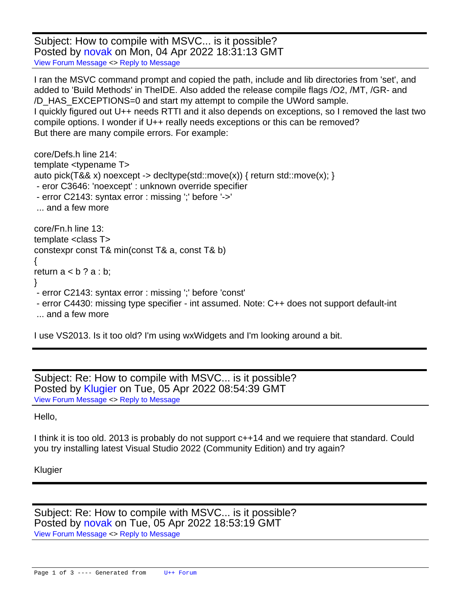Subject: How to compile with MSVC... is it possible? Posted by [novak](https://www.ultimatepp.org/forums/index.php?t=usrinfo&id=34811) on Mon, 04 Apr 2022 18:31:13 GMT [View Forum Message](https://www.ultimatepp.org/forums/index.php?t=rview&th=11786&goto=58248#msg_58248) <> [Reply to Message](https://www.ultimatepp.org/forums/index.php?t=post&reply_to=58248)

I ran the MSVC command prompt and copied the path, include and lib directories from 'set', and added to 'Build Methods' in TheIDE. Also added the release compile flags /O2, /MT, /GR- and /D\_HAS\_EXCEPTIONS=0 and start my attempt to compile the UWord sample. I quickly figured out U++ needs RTTI and it also depends on exceptions, so I removed the last two compile options. I wonder if U++ really needs exceptions or this can be removed? But there are many compile errors. For example:

core/Defs.h line 214: template <typename T> auto pick(T&& x) noexcept -> decltype(std::move(x)) { return std::move(x); } - eror C3646: 'noexcept' : unknown override specifier - error C2143: syntax error : missing ';' before '->' ... and a few more core/Fn.h line 13: template <class T> constexpr const T& min(const T& a, const T& b) { return  $a < b$  ?  $a : b$ ; } - error C2143: syntax error : missing ';' before 'const' - error C4430: missing type specifier - int assumed. Note: C++ does not support default-int ... and a few more

I use VS2013. Is it too old? I'm using wxWidgets and I'm looking around a bit.

Subject: Re: How to compile with MSVC... is it possible? Posted by [Klugier](https://www.ultimatepp.org/forums/index.php?t=usrinfo&id=1517) on Tue, 05 Apr 2022 08:54:39 GMT [View Forum Message](https://www.ultimatepp.org/forums/index.php?t=rview&th=11786&goto=58250#msg_58250) <> [Reply to Message](https://www.ultimatepp.org/forums/index.php?t=post&reply_to=58250)

## Hello,

I think it is too old. 2013 is probably do not support c++14 and we requiere that standard. Could you try installing latest Visual Studio 2022 (Community Edition) and try again?

## Klugier

Subject: Re: How to compile with MSVC... is it possible? Posted by [novak](https://www.ultimatepp.org/forums/index.php?t=usrinfo&id=34811) on Tue, 05 Apr 2022 18:53:19 GMT [View Forum Message](https://www.ultimatepp.org/forums/index.php?t=rview&th=11786&goto=58254#msg_58254) <> [Reply to Message](https://www.ultimatepp.org/forums/index.php?t=post&reply_to=58254)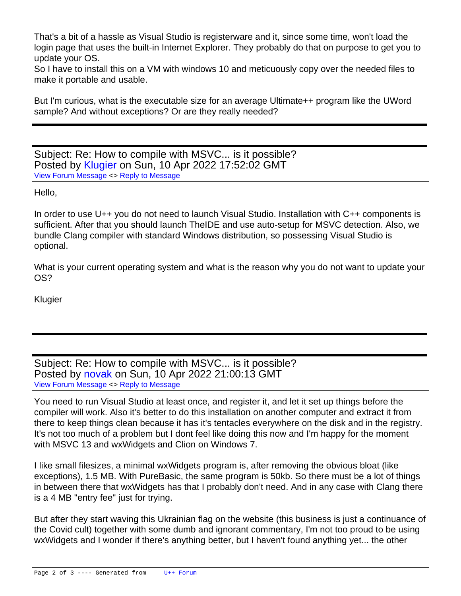That's a bit of a hassle as Visual Studio is registerware and it, since some time, won't load the login page that uses the built-in Internet Explorer. They probably do that on purpose to get you to update your OS.

So I have to install this on a VM with windows 10 and meticuously copy over the needed files to make it portable and usable.

But I'm curious, what is the executable size for an average Ultimate++ program like the UWord sample? And without exceptions? Or are they really needed?

Subject: Re: How to compile with MSVC... is it possible? Posted by [Klugier](https://www.ultimatepp.org/forums/index.php?t=usrinfo&id=1517) on Sun, 10 Apr 2022 17:52:02 GMT [View Forum Message](https://www.ultimatepp.org/forums/index.php?t=rview&th=11786&goto=58286#msg_58286) <> [Reply to Message](https://www.ultimatepp.org/forums/index.php?t=post&reply_to=58286)

Hello,

In order to use U++ you do not need to launch Visual Studio. Installation with C++ components is sufficient. After that you should launch TheIDE and use auto-setup for MSVC detection. Also, we bundle Clang compiler with standard Windows distribution, so possessing Visual Studio is optional.

What is your current operating system and what is the reason why you do not want to update your OS?

Klugier

Subject: Re: How to compile with MSVC... is it possible? Posted by [novak](https://www.ultimatepp.org/forums/index.php?t=usrinfo&id=34811) on Sun, 10 Apr 2022 21:00:13 GMT [View Forum Message](https://www.ultimatepp.org/forums/index.php?t=rview&th=11786&goto=58287#msg_58287) <> [Reply to Message](https://www.ultimatepp.org/forums/index.php?t=post&reply_to=58287)

You need to run Visual Studio at least once, and register it, and let it set up things before the compiler will work. Also it's better to do this installation on another computer and extract it from there to keep things clean because it has it's tentacles everywhere on the disk and in the registry. It's not too much of a problem but I dont feel like doing this now and I'm happy for the moment with MSVC 13 and wxWidgets and Clion on Windows 7.

I like small filesizes, a minimal wxWidgets program is, after removing the obvious bloat (like exceptions), 1.5 MB. With PureBasic, the same program is 50kb. So there must be a lot of things in between there that wxWidgets has that I probably don't need. And in any case with Clang there is a 4 MB "entry fee" just for trying.

But after they start waving this Ukrainian flag on the website (this business is just a continuance of the Covid cult) together with some dumb and ignorant commentary, I'm not too proud to be using wxWidgets and I wonder if there's anything better, but I haven't found anything yet... the other